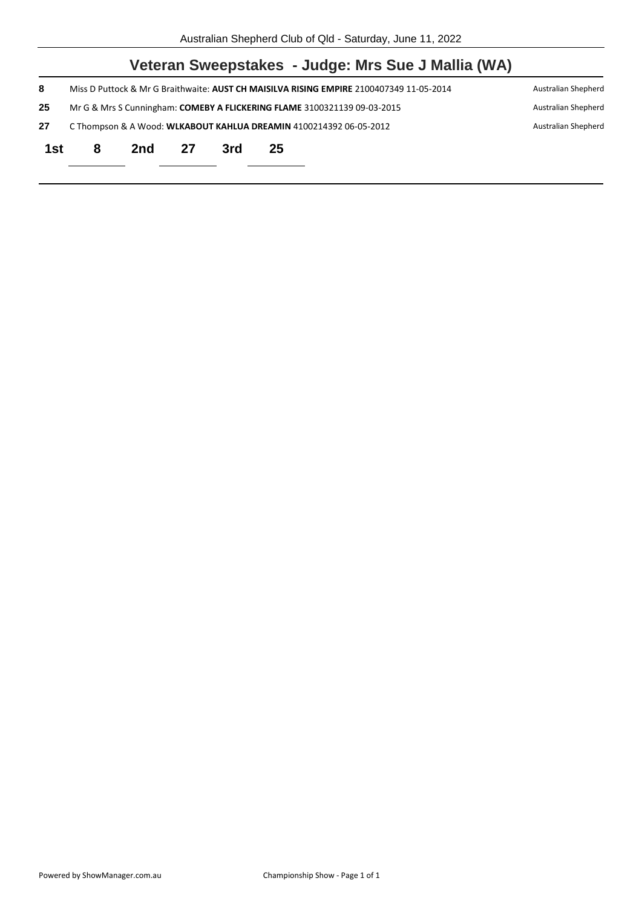|     |                                                                                           |     |    |     |    | Veteran Sweepstakes - Judge: Mrs Sue J Mallia (WA)                                      |                     |
|-----|-------------------------------------------------------------------------------------------|-----|----|-----|----|-----------------------------------------------------------------------------------------|---------------------|
| 8   |                                                                                           |     |    |     |    | Miss D Puttock & Mr G Braithwaite: AUST CH MAISILVA RISING EMPIRE 2100407349 11-05-2014 | Australian Shepherd |
| 25  |                                                                                           |     |    |     |    | Mr G & Mrs S Cunningham: COMEBY A FLICKERING FLAME 3100321139 09-03-2015                | Australian Shepherd |
| 27  | C Thompson & A Wood: WLKABOUT KAHLUA DREAMIN 4100214392 06-05-2012<br>Australian Shepherd |     |    |     |    |                                                                                         |                     |
| 1st | 8                                                                                         | 2nd | 27 | 3rd | 25 |                                                                                         |                     |
|     |                                                                                           |     |    |     |    |                                                                                         |                     |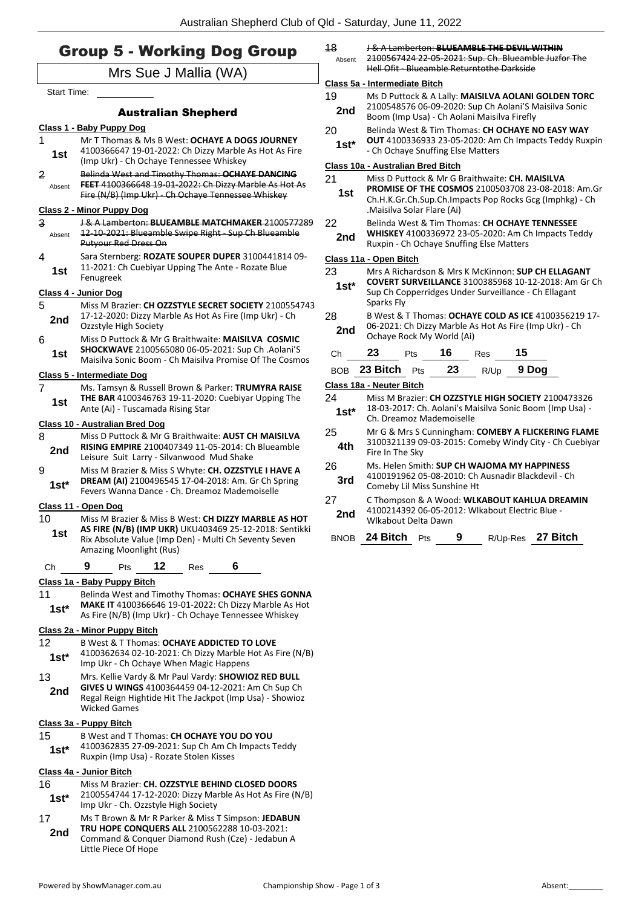## Group 5 - Working Dog Group

|                          | <b>Group 5 - Working Dog Group</b>                                                                                                                                                          | 18<br>Absent                                                                                                             | <b>J &amp; A Lamberton: BLUEAMBLE THE DEVIL WITHIN</b><br>2100567424 22 05 2021: Sup. Ch. Blueamble Juzfor The                                                        |     |    |                                                 |       |                                                                                                               |  |
|--------------------------|---------------------------------------------------------------------------------------------------------------------------------------------------------------------------------------------|--------------------------------------------------------------------------------------------------------------------------|-----------------------------------------------------------------------------------------------------------------------------------------------------------------------|-----|----|-------------------------------------------------|-------|---------------------------------------------------------------------------------------------------------------|--|
|                          | Mrs Sue J Mallia (WA)                                                                                                                                                                       | Hell Ofit - Blueamble Returntothe Darkside                                                                               |                                                                                                                                                                       |     |    |                                                 |       |                                                                                                               |  |
| <b>Start Time:</b>       |                                                                                                                                                                                             | Class 5a - Intermediate Bitch                                                                                            |                                                                                                                                                                       |     |    |                                                 |       |                                                                                                               |  |
|                          | <b>Australian Shepherd</b>                                                                                                                                                                  | 19<br>2nd                                                                                                                | Ms D Puttock & A Lally: MAISILVA AOLANI GOLDEN TORC<br>2100548576 06-09-2020: Sup Ch Aolani'S Maisilva Sonic<br>Boom (Imp Usa) - Ch Aolani Maisilva Firefly           |     |    |                                                 |       |                                                                                                               |  |
|                          | Class 1 - Baby Puppy Dog                                                                                                                                                                    | 20                                                                                                                       |                                                                                                                                                                       |     |    |                                                 |       | Belinda West & Tim Thomas: CH OCHAYE NO EASY WAY                                                              |  |
| 1.<br>1st                | Mr T Thomas & Ms B West: OCHAYE A DOGS JOURNEY<br>4100366647 19-01-2022: Ch Dizzy Marble As Hot As Fire                                                                                     | $1st*$                                                                                                                   | - Ch Ochaye Snuffing Else Matters                                                                                                                                     |     |    |                                                 |       | <b>OUT</b> 4100336933 23-05-2020: Am Ch Impacts Teddy Ruxp                                                    |  |
|                          | (Imp Ukr) - Ch Ochaye Tennessee Whiskey                                                                                                                                                     |                                                                                                                          | Class 10a - Australian Bred Bitch                                                                                                                                     |     |    |                                                 |       |                                                                                                               |  |
| $\overline{2}$<br>Absent | Belinda West and Timothy Thomas: OCHAYE DANCING<br>FEET 4100366648 19-01-2022: Ch Dizzy Marble As Hot As<br>Fire (N/B) (Imp Ukr) - Ch Ochaye Tennessee Whiskey                              | 21<br>1st                                                                                                                | Miss D Puttock & Mr G Braithwaite: CH. MAISILVA<br><b>PROMISE OF THE COSMOS 2100503708 23-08-2018: Am.</b><br>Ch.H.K.Gr.Ch.Sup.Ch.Impacts Pop Rocks Gcg (Imphkg) - Ch |     |    |                                                 |       |                                                                                                               |  |
|                          | <b>Class 2 - Minor Puppy Dog</b>                                                                                                                                                            |                                                                                                                          | .Maisilva Solar Flare (Ai)                                                                                                                                            |     |    |                                                 |       |                                                                                                               |  |
| $\mathbf{a}$<br>Absent   | <b>J &amp; A Lamberton: BLUEAMBLE MATCHMAKER 2100577289</b><br>12-10-2021: Blueamble Swipe Right - Sup Ch Blueamble<br><b>Putyour Red Dress On</b>                                          | 22<br>2nd                                                                                                                | Belinda West & Tim Thomas: CH OCHAYE TENNESSEE<br>WHISKEY 4100336972 23-05-2020: Am Ch Impacts Teddy<br>Ruxpin - Ch Ochaye Snuffing Else Matters                      |     |    |                                                 |       |                                                                                                               |  |
| 4                        | Sara Sternberg: ROZATE SOUPER DUPER 3100441814 09-                                                                                                                                          | Class 11a - Open Bitch                                                                                                   |                                                                                                                                                                       |     |    |                                                 |       |                                                                                                               |  |
| 1st                      | 11-2021: Ch Cuebiyar Upping The Ante - Rozate Blue<br>Fenugreek                                                                                                                             | 23<br>Mrs A Richardson & Mrs K McKinnon: SUP CH ELLAGANT<br>COVERT SURVEILLANCE 3100385968 10-12-2018: Am Gr 0<br>$1st*$ |                                                                                                                                                                       |     |    |                                                 |       |                                                                                                               |  |
|                          | Class 4 - Junior Dog                                                                                                                                                                        |                                                                                                                          |                                                                                                                                                                       |     |    |                                                 |       | Sup Ch Copperridges Under Surveillance - Ch Ellagant                                                          |  |
| 5                        | Miss M Brazier: CH OZZSTYLE SECRET SOCIETY 2100554743                                                                                                                                       |                                                                                                                          | Sparks Fly                                                                                                                                                            |     |    |                                                 |       |                                                                                                               |  |
| 2nd                      | 17-12-2020: Dizzy Marble As Hot As Fire (Imp Ukr) - Ch<br>Ozzstyle High Society                                                                                                             | 28<br>2nd                                                                                                                | Ochaye Rock My World (Ai)                                                                                                                                             |     |    |                                                 |       | B West & T Thomas: OCHAYE COLD AS ICE 4100356219 17<br>06-2021: Ch Dizzy Marble As Hot As Fire (Imp Ukr) - Ch |  |
| 6<br>1st                 | Miss D Puttock & Mr G Braithwaite: MAISILVA COSMIC<br>SHOCKWAVE 2100565080 06-05-2021: Sup Ch .Aolani'S                                                                                     | Ch                                                                                                                       | 23                                                                                                                                                                    | Pts | 16 | <b>Res</b>                                      | 15    |                                                                                                               |  |
|                          | Maisilya Sonic Boom - Ch Maisilya Promise Of The Cosmos                                                                                                                                     |                                                                                                                          | BOB 23 Bitch Pts                                                                                                                                                      |     | 23 | R/Up                                            | 9 Dog |                                                                                                               |  |
|                          | Class 5 - Intermediate Dog                                                                                                                                                                  |                                                                                                                          | Class 18a - Neuter Bitch                                                                                                                                              |     |    |                                                 |       |                                                                                                               |  |
| $\overline{7}$           | Ms. Tamsyn & Russell Brown & Parker: TRUMYRA RAISE<br><b>THE BAR</b> 4100346763 19-11-2020: Cuebiyar Upping The                                                                             | 24                                                                                                                       |                                                                                                                                                                       |     |    |                                                 |       |                                                                                                               |  |
| 1st                      | Ante (Ai) - Tuscamada Rising Star                                                                                                                                                           | $1st*$                                                                                                                   | Miss M Brazier: CH OZZSTYLE HIGH SOCIETY 2100473326<br>18-03-2017: Ch. Aolani's Maisilva Sonic Boom (Imp Usa) -                                                       |     |    |                                                 |       |                                                                                                               |  |
|                          | Class 10 - Australian Bred Dog                                                                                                                                                              |                                                                                                                          | Ch. Dreamoz Mademoiselle                                                                                                                                              |     |    |                                                 |       |                                                                                                               |  |
| 8<br>2nd                 | Miss D Puttock & Mr G Braithwaite: AUST CH MAISILVA<br><b>RISING EMPIRE 2100407349 11-05-2014: Ch Blueamble</b>                                                                             | 25<br>4th                                                                                                                | Fire In The Sky                                                                                                                                                       |     |    |                                                 |       | Mr G & Mrs S Cunningham: COMEBY A FLICKERING FLAM<br>3100321139 09-03-2015: Comeby Windy City - Ch Cuebiya    |  |
| 9                        | Leisure Suit Larry - Silvanwood Mud Shake<br>Miss M Brazier & Miss S Whyte: CH. OZZSTYLE I HAVE A                                                                                           | 26                                                                                                                       |                                                                                                                                                                       |     |    | Ms. Helen Smith: SUP CH WAJOMA MY HAPPINESS     |       |                                                                                                               |  |
| $1st^*$                  | DREAM (AI) 2100496545 17-04-2018: Am. Gr Ch Spring<br>Fevers Wanna Dance - Ch. Dreamoz Mademoiselle                                                                                         | 3rd                                                                                                                      | 4100191962 05-08-2010: Ch Ausnadir Blackdevil - Ch<br>Comeby Lil Miss Sunshine Ht                                                                                     |     |    |                                                 |       |                                                                                                               |  |
|                          | Class 11 - Open Dog                                                                                                                                                                         | 27                                                                                                                       |                                                                                                                                                                       |     |    |                                                 |       | C Thompson & A Wood: WLKABOUT KAHLUA DREAMIN                                                                  |  |
| 10                       | Miss M Brazier & Miss B West: CH DIZZY MARBLE AS HOT                                                                                                                                        | 2nd                                                                                                                      | Wlkabout Delta Dawn                                                                                                                                                   |     |    | 4100214392 06-05-2012: Wlkabout Electric Blue - |       |                                                                                                               |  |
| 1st                      | AS FIRE (N/B) (IMP UKR) UKU403469 25-12-2018: Sentikki<br>Rix Absolute Value (Imp Den) - Multi Ch Seventy Seven<br>Amazing Moonlight (Rus)                                                  |                                                                                                                          | BNOB 24 Bitch Pts                                                                                                                                                     |     | 9  |                                                 |       | R/Up-Res 27 Bitch                                                                                             |  |
| Ch                       | 9<br>12<br>6<br>Pts<br>Res                                                                                                                                                                  |                                                                                                                          |                                                                                                                                                                       |     |    |                                                 |       |                                                                                                               |  |
|                          | Class 1a - Baby Puppy Bitch                                                                                                                                                                 |                                                                                                                          |                                                                                                                                                                       |     |    |                                                 |       |                                                                                                               |  |
| 11<br>$1st*$             | Belinda West and Timothy Thomas: OCHAYE SHES GONNA<br>MAKE IT 4100366646 19-01-2022: Ch Dizzy Marble As Hot<br>As Fire (N/B) (Imp Ukr) - Ch Ochaye Tennessee Whiskey                        |                                                                                                                          |                                                                                                                                                                       |     |    |                                                 |       |                                                                                                               |  |
|                          | Class 2a - Minor Puppy Bitch                                                                                                                                                                |                                                                                                                          |                                                                                                                                                                       |     |    |                                                 |       |                                                                                                               |  |
| 12<br>$1st*$             | B West & T Thomas: OCHAYE ADDICTED TO LOVE<br>4100362634 02-10-2021: Ch Dizzy Marble Hot As Fire (N/B)<br>Imp Ukr - Ch Ochaye When Magic Happens                                            |                                                                                                                          |                                                                                                                                                                       |     |    |                                                 |       |                                                                                                               |  |
| 13<br>2nd                | Mrs. Kellie Vardy & Mr Paul Vardy: SHOWIOZ RED BULL<br>GIVES U WINGS 4100364459 04-12-2021: Am Ch Sup Ch<br>Regal Reign Hightide Hit The Jackpot (Imp Usa) - Showioz<br><b>Wicked Games</b> |                                                                                                                          |                                                                                                                                                                       |     |    |                                                 |       |                                                                                                               |  |
|                          | Class 3a - Puppy Bitch                                                                                                                                                                      |                                                                                                                          |                                                                                                                                                                       |     |    |                                                 |       |                                                                                                               |  |
| 15<br>$1st^*$            | B West and T Thomas: CH OCHAYE YOU DO YOU<br>4100362835 27-09-2021: Sup Ch Am Ch Impacts Teddy<br>Ruxpin (Imp Usa) - Rozate Stolen Kisses                                                   |                                                                                                                          |                                                                                                                                                                       |     |    |                                                 |       |                                                                                                               |  |
|                          | Class 4a - Junior Bitch                                                                                                                                                                     |                                                                                                                          |                                                                                                                                                                       |     |    |                                                 |       |                                                                                                               |  |
| 16                       | Miss M Brazier: CH. OZZSTYLE BEHIND CLOSED DOORS                                                                                                                                            |                                                                                                                          |                                                                                                                                                                       |     |    |                                                 |       |                                                                                                               |  |
| $1st^*$                  | 2100554744 17-12-2020: Dizzy Marble As Hot As Fire (N/B)<br>Imp Ukr - Ch. Ozzstyle High Society                                                                                             |                                                                                                                          |                                                                                                                                                                       |     |    |                                                 |       |                                                                                                               |  |
| 17<br>2nd                | Ms T Brown & Mr R Parker & Miss T Simpson: JEDABUN<br>TRU HOPE CONQUERS ALL 2100562288 10-03-2021:<br>Command & Conquer Diamond Rush (Cze) - Jedabun A                                      |                                                                                                                          |                                                                                                                                                                       |     |    |                                                 |       |                                                                                                               |  |

| 20<br>$1st^*$                     | Belinda West & Tim Thomas: CH OCHAYE NO EASY WAY<br><b>OUT</b> 4100336933 23-05-2020: Am Ch Impacts Teddy Ruxpin<br>- Ch Ochaye Snuffing Else Matters                                          |     |    |            |                                             |  |  |  |
|-----------------------------------|------------------------------------------------------------------------------------------------------------------------------------------------------------------------------------------------|-----|----|------------|---------------------------------------------|--|--|--|
| Class 10a - Australian Bred Bitch |                                                                                                                                                                                                |     |    |            |                                             |  |  |  |
| 21<br>1st                         | Miss D Puttock & Mr G Braithwaite: CH. MAISILVA<br>PROMISE OF THE COSMOS 2100503708 23-08-2018: Am.Gr<br>Ch.H.K.Gr.Ch.Sup.Ch.Impacts Pop Rocks Gcg (Imphkg) - Ch<br>.Maisilva Solar Flare (Ai) |     |    |            |                                             |  |  |  |
| 22<br>2nd                         | Belinda West & Tim Thomas: CH OCHAYE TENNESSEE<br>WHISKEY 4100336972 23-05-2020: Am Ch Impacts Teddy<br>Ruxpin - Ch Ochaye Snuffing Else Matters                                               |     |    |            |                                             |  |  |  |
| Class 11a - Open Bitch            |                                                                                                                                                                                                |     |    |            |                                             |  |  |  |
| 23<br>$1st*$                      | Mrs A Richardson & Mrs K McKinnon: SUP CH ELLAGANT<br><b>COVERT SURVEILLANCE 3100385968 10-12-2018: Am Gr Ch</b><br>Sup Ch Copperridges Under Surveillance - Ch Ellagant<br>Sparks Fly         |     |    |            |                                             |  |  |  |
| 28<br>2nd                         | B West & T Thomas: OCHAYE COLD AS ICE 4100356219 17-<br>06-2021: Ch Dizzy Marble As Hot As Fire (Imp Ukr) - Ch<br>Ochaye Rock My World (Ai)                                                    |     |    |            |                                             |  |  |  |
| Ch                                | 23                                                                                                                                                                                             | Pts | 16 | <b>Res</b> | 15                                          |  |  |  |
| <b>BOB</b>                        | 23 Bitch $P$ ts                                                                                                                                                                                |     | 23 |            | R/Up 9 Dog                                  |  |  |  |
| Class 18a - Neuter Bitch          |                                                                                                                                                                                                |     |    |            |                                             |  |  |  |
| 24<br>$1st^*$                     | Miss M Brazier: CH OZZSTYLE HIGH SOCIETY 2100473326<br>18-03-2017: Ch. Aolani's Maisilva Sonic Boom (Imp Usa) -<br>Ch. Dreamoz Mademoiselle                                                    |     |    |            |                                             |  |  |  |
| 25<br>4th                         | Mr G & Mrs S Cunningham: COMEBY A FLICKERING FLAME<br>3100321139 09-03-2015: Comeby Windy City - Ch Cuebiyar<br>Fire In The Sky                                                                |     |    |            |                                             |  |  |  |
| າຂ                                |                                                                                                                                                                                                |     |    |            | Mc Holon Smith: CLID CH WAIOMA MV HADDINECC |  |  |  |

- 26 Ms. Helen Smith: **SUP CH WAJOMA MY HAPPINESS** 191962 05-08-2010: Ch Ausnadir Blackdevil - Ch **Eby Lil Miss Sunshine Ht**
- 27 C Thompson & A Wood: **WLKABOUT KAHLUA DREAMIN** 4100214392 06-05-2012: Wlkabout Electric Blue -
- bout Delta Dawn

Little Piece Of Hope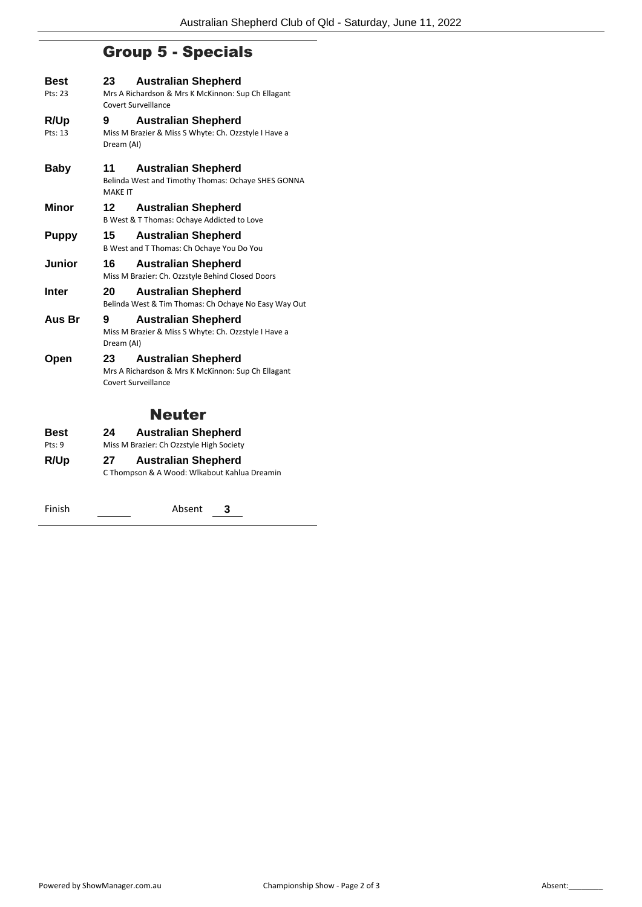# Group 5 - Specials

| Best<br>Pts: 23 | 23                   | <b>Australian Shepherd</b><br>Mrs A Richardson & Mrs K McKinnon: Sup Ch Ellagant<br>Covert Surveillance |
|-----------------|----------------------|---------------------------------------------------------------------------------------------------------|
| R/Up<br>Pts: 13 | 9<br>Dream (AI)      | <b>Australian Shepherd</b><br>Miss M Brazier & Miss S Whyte: Ch. Ozzstyle I Have a                      |
| <b>Baby</b>     | 11<br><b>MAKF IT</b> | <b>Australian Shepherd</b><br>Belinda West and Timothy Thomas: Ochaye SHES GONNA                        |
| Minor           | 12                   | <b>Australian Shepherd</b><br>B West & T Thomas: Ochaye Addicted to Love                                |
| <b>Puppy</b>    | 15                   | <b>Australian Shepherd</b><br>B West and T Thomas: Ch Ochaye You Do You                                 |
| Junior          | 16                   | <b>Australian Shepherd</b><br>Miss M Brazier: Ch. Ozzstyle Behind Closed Doors                          |
| <b>Inter</b>    | 20                   | <b>Australian Shepherd</b><br>Belinda West & Tim Thomas: Ch Ochaye No Easy Way Out                      |
| Aus Br          | 9<br>Dream (AI)      | <b>Australian Shepherd</b><br>Miss M Brazier & Miss S Whyte: Ch. Ozzstyle I Have a                      |
| Open            | 23                   | <b>Australian Shepherd</b><br>Mrs A Richardson & Mrs K McKinnon: Sup Ch Ellagant<br>Covert Surveillance |
|                 |                      | <b>Neuter</b>                                                                                           |
| <b>Best</b>     | 24                   | <b>Australian Shepherd</b>                                                                              |
| Pts: 9          |                      | Miss M Brazier: Ch Ozzstyle High Society                                                                |
| R/Up            | 27                   | <b>Australian Shepherd</b><br>C Thompson & A Wood: Wlkabout Kahlua Dreamin                              |

Finish Absent **3**